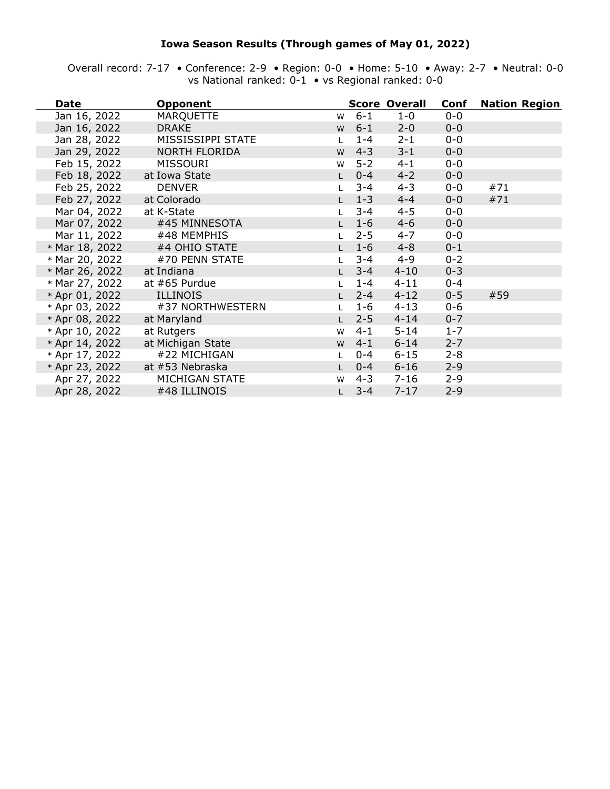### **Iowa Season Results (Through games of May 01, 2022)**

Overall record: 7-17 • Conference: 2-9 • Region: 0-0 • Home: 5-10 • Away: 2-7 • Neutral: 0-0 vs National ranked: 0-1 • vs Regional ranked: 0-0

| <b>Date</b>    | <b>Opponent</b>      |              |         | <b>Score Overall</b> | Conf    | <b>Nation Region</b> |
|----------------|----------------------|--------------|---------|----------------------|---------|----------------------|
| Jan 16, 2022   | <b>MARQUETTE</b>     | W            | $6 - 1$ | $1-0$                | $0 - 0$ |                      |
| Jan 16, 2022   | <b>DRAKE</b>         | W            | $6 - 1$ | $2 - 0$              | $0 - 0$ |                      |
| Jan 28, 2022   | MISSISSIPPI STATE    |              | $1 - 4$ | $2 - 1$              | $0-0$   |                      |
| Jan 29, 2022   | <b>NORTH FLORIDA</b> | W            | $4 - 3$ | $3 - 1$              | $0 - 0$ |                      |
| Feb 15, 2022   | <b>MISSOURI</b>      | W            | $5 - 2$ | $4 - 1$              | $0-0$   |                      |
| Feb 18, 2022   | at Iowa State        |              | $0 - 4$ | $4 - 2$              | $0-0$   |                      |
| Feb 25, 2022   | <b>DENVER</b>        |              | $3 - 4$ | $4 - 3$              | $0-0$   | #71                  |
| Feb 27, 2022   | at Colorado          |              | $1 - 3$ | $4 - 4$              | $0-0$   | #71                  |
| Mar 04, 2022   | at K-State           |              | $3 - 4$ | $4 - 5$              | $0-0$   |                      |
| Mar 07, 2022   | #45 MINNESOTA        |              | $1 - 6$ | $4 - 6$              | $0-0$   |                      |
| Mar 11, 2022   | #48 MEMPHIS          |              | $2 - 5$ | $4 - 7$              | $0-0$   |                      |
| * Mar 18, 2022 | #4 OHIO STATE        |              | $1 - 6$ | $4 - 8$              | $0 - 1$ |                      |
| * Mar 20, 2022 | #70 PENN STATE       |              | $3 - 4$ | $4 - 9$              | $0 - 2$ |                      |
| * Mar 26, 2022 | at Indiana           |              | $3 - 4$ | $4 - 10$             | $0 - 3$ |                      |
| * Mar 27, 2022 | at $#65$ Purdue      |              | $1 - 4$ | $4 - 11$             | $0 - 4$ |                      |
| * Apr 01, 2022 | <b>ILLINOIS</b>      |              | $2 - 4$ | $4 - 12$             | $0 - 5$ | #59                  |
| * Apr 03, 2022 | #37 NORTHWESTERN     |              | $1 - 6$ | $4 - 13$             | $0 - 6$ |                      |
| * Apr 08, 2022 | at Maryland          |              | $2 - 5$ | $4 - 14$             | $0 - 7$ |                      |
| * Apr 10, 2022 | at Rutgers           | W            | $4 - 1$ | $5 - 14$             | $1 - 7$ |                      |
| * Apr 14, 2022 | at Michigan State    | W            | $4 - 1$ | $6 - 14$             | $2 - 7$ |                      |
| * Apr 17, 2022 | #22 MICHIGAN         |              | $0 - 4$ | $6 - 15$             | $2 - 8$ |                      |
| * Apr 23, 2022 | at #53 Nebraska      | $\mathsf{L}$ | $0 - 4$ | $6 - 16$             | $2 - 9$ |                      |
| Apr 27, 2022   | MICHIGAN STATE       | W            | $4 - 3$ | $7 - 16$             | $2 - 9$ |                      |
| Apr 28, 2022   | #48 ILLINOIS         |              | $3 - 4$ | $7 - 17$             | $2 - 9$ |                      |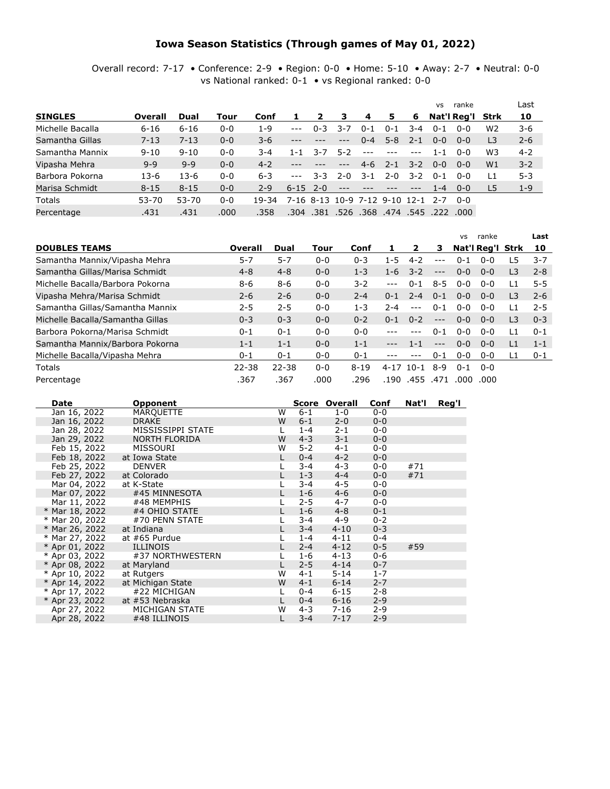### **Iowa Season Statistics (Through games of May 01, 2022)**

Overall record: 7-17 • Conference: 2-9 • Region: 0-0 • Home: 5-10 • Away: 2-7 • Neutral: 0-0 vs National ranked: 0-1 • vs Regional ranked: 0-0

|                  |          |          |         |         |               |         |         |                                   |         |         | <b>VS</b> | ranke                         |                | Last    |
|------------------|----------|----------|---------|---------|---------------|---------|---------|-----------------------------------|---------|---------|-----------|-------------------------------|----------------|---------|
| <b>SINGLES</b>   | Overall  | Dual     | Tour    | Conf    |               | 2       | 3       | -4                                | 5.      | 6       |           | Nat'l Reg'l Strk              |                | 10      |
| Michelle Bacalla | $6 - 16$ | $6 - 16$ | $0 - 0$ | $1 - 9$ | $\frac{1}{2}$ | $0 - 3$ | 3-7     | $0 - 1$                           | $0 - 1$ | $3 - 4$ | $0 - 1$   | $0 - 0$                       | W <sub>2</sub> | $3 - 6$ |
| Samantha Gillas  | $7 - 13$ | $7 - 13$ | $0 - 0$ | $3-6$   |               |         | $---$   | $0 - 4$                           | $5 - 8$ | $2 - 1$ | $0 - 0$   | $0 - 0$                       | L <sub>3</sub> | $2 - 6$ |
| Samantha Mannix  | $9 - 10$ | $9 - 10$ | $0 - 0$ | 3-4     | 1-1           | 3-7     | 5-2     | $- - -$                           |         |         | 1-1       | $0 - 0$                       | W3             | $4 - 2$ |
| Vipasha Mehra    | $9 - 9$  | $9 - 9$  | $0 - 0$ | $4 - 2$ |               |         | ---     | 4-6                               | $2 - 1$ | $3 - 2$ | $0 - 0$   | $0 - 0$                       | W <sub>1</sub> | $3 - 2$ |
| Barbora Pokorna  | $13-6$   | $13-6$   | $0 - 0$ | $6 - 3$ | $- - -$       | 3-3     | $2 - 0$ | $3 - 1$                           | $2 - 0$ | $3 - 2$ | $0 - 1$   | $0 - 0$                       | L1             | $5 - 3$ |
| Marisa Schmidt   | $8 - 15$ | $8 - 15$ | $0 - 0$ | $2 - 9$ | $6 - 15$      | $2 - 0$ |         |                                   |         |         | $1 - 4$   | $0 - 0$                       | L5             | $1 - 9$ |
| <b>Totals</b>    | 53-70    | 53-70    | $0 - 0$ | 19-34   |               |         |         | 7-16 8-13 10-9 7-12 9-10 12-1 2-7 |         |         |           | ი-ი                           |                |         |
| Percentage       | .431     | .431     | .000    | .358    | .304          | .381    |         |                                   |         |         |           | .526 .368 .474 .545 .222 .000 |                |         |

|                                  |           |           |         |          |               |         |         | VS      | ranke            |                | Last    |
|----------------------------------|-----------|-----------|---------|----------|---------------|---------|---------|---------|------------------|----------------|---------|
| <b>DOUBLES TEAMS</b>             | Overall   | Dual      | Tour    | Conf     |               | 2       | з       |         | Nat'l Reg'l Strk |                | 10      |
| Samantha Mannix/Vipasha Mehra    | $5 - 7$   | $5 - 7$   | $0 - 0$ | $0 - 3$  | $1 - 5$       | $4 - 2$ | ---     | $0 - 1$ | $0 - 0$          | 5ء             | $3 - 7$ |
| Samantha Gillas/Marisa Schmidt   | $4 - 8$   | $4 - 8$   | $0 - 0$ | $1 - 3$  | $1 - 6$       | $3 - 2$ | $---$   | $0 - 0$ | $0 - 0$          | L <sub>3</sub> | $2 - 8$ |
| Michelle Bacalla/Barbora Pokorna | 8-6       | $8 - 6$   | $0 - 0$ | $3 - 2$  | $---$         | $0 - 1$ | $8 - 5$ | $0 - 0$ | $0 - 0$          | L1             | $5 - 5$ |
| Vipasha Mehra/Marisa Schmidt     | $2 - 6$   | $2 - 6$   | $0 - 0$ | $2 - 4$  | $0 - 1$       | $2 - 4$ | $0 - 1$ | $0 - 0$ | $0 - 0$          | L <sub>3</sub> | $2 - 6$ |
| Samantha Gillas/Samantha Mannix  | $2 - 5$   | $2 - 5$   | $0 - 0$ | $1 - 3$  | 2-4           | $---$   | $0 - 1$ | $0 - 0$ | $0 - 0$          | L1             | $2 - 5$ |
| Michelle Bacalla/Samantha Gillas | $0 - 3$   | $0 - 3$   | $0 - 0$ | $0 - 2$  | $0 - 1$       | $0 - 2$ | $---$   | $0 - 0$ | $0 - 0$          | L <sub>3</sub> | $0 - 3$ |
| Barbora Pokorna/Marisa Schmidt   | $0 - 1$   | $0 - 1$   | $0 - 0$ | $0 - 0$  |               | $---$   | $0 - 1$ | $0 - 0$ | ი-ი              | $\overline{1}$ | $0 - 1$ |
| Samantha Mannix/Barbora Pokorna  | $1 - 1$   | $1 - 1$   | $0 - 0$ | $1 - 1$  | $---$         | $1 - 1$ | $---$   | $0 - 0$ | $0 - 0$          | L1             | $1 - 1$ |
| Michelle Bacalla/Vipasha Mehra   | $0 - 1$   | $0 - 1$   | $0 - 0$ | $0 - 1$  |               |         | $0 - 1$ | $0 - 0$ | $0 - 0$          | L1             | $0 - 1$ |
| <b>Totals</b>                    | $22 - 38$ | $22 - 38$ | $0 - 0$ | $8 - 19$ | $4 - 17$ 10-1 |         | 8-9     | $0 - 1$ | ი-ი              |                |         |
| Percentage                       | .367      | .367      | .000    | .296     | .190          | .455    | .471    | .000    | .000             |                |         |

| Date           | Opponent             |    |         | <b>Score Overall</b> | Conf    | Nat'l | Reg'l |
|----------------|----------------------|----|---------|----------------------|---------|-------|-------|
| Jan 16, 2022   | <b>MARQUETTE</b>     | W  | $6 - 1$ | $1-0$                | $0 - 0$ |       |       |
| Jan 16, 2022   | <b>DRAKE</b>         | W  | $6 - 1$ | $2 - 0$              | $0 - 0$ |       |       |
| Jan 28, 2022   | MISSISSIPPI STATE    | L  | $1 - 4$ | $2 - 1$              | $0 - 0$ |       |       |
| Jan 29, 2022   | <b>NORTH FLORIDA</b> | W  | $4 - 3$ | $3 - 1$              | $0 - 0$ |       |       |
| Feb 15, 2022   | MISSOURI             | W  | $5-2$   | $4 - 1$              | $0 - 0$ |       |       |
| Feb 18, 2022   | at Iowa State        | L  | $0 - 4$ | $4 - 2$              | $0 - 0$ |       |       |
| Feb 25, 2022   | <b>DENVER</b>        |    | $3 - 4$ | $4 - 3$              | $0 - 0$ | #71   |       |
| Feb 27, 2022   | at Colorado          | L  | $1 - 3$ | $4 - 4$              | $0 - 0$ | #71   |       |
| Mar 04, 2022   | at K-State           |    | $3 - 4$ | $4 - 5$              | $0 - 0$ |       |       |
| Mar 07, 2022   | #45 MINNESOTA        | L. | $1 - 6$ | $4 - 6$              | $0 - 0$ |       |       |
| Mar 11, 2022   | #48 MEMPHIS          |    | $2 - 5$ | $4 - 7$              | $0 - 0$ |       |       |
| * Mar 18, 2022 | #4 OHIO STATE        |    | $1 - 6$ | $4 - 8$              | $0 - 1$ |       |       |
| * Mar 20, 2022 | #70 PENN STATE       |    | $3 - 4$ | $4 - 9$              | $0 - 2$ |       |       |
| * Mar 26, 2022 | at Indiana           |    | $3 - 4$ | $4 - 10$             | $0 - 3$ |       |       |
| * Mar 27, 2022 | at $#65$ Purdue      |    | $1 - 4$ | $4 - 11$             | $0 - 4$ |       |       |
| * Apr 01, 2022 | <b>ILLINOIS</b>      |    | $2 - 4$ | $4 - 12$             | $0 - 5$ | #59   |       |
| * Apr 03, 2022 | #37 NORTHWESTERN     |    | $1 - 6$ | $4 - 13$             | $0 - 6$ |       |       |
| * Apr 08, 2022 | at Maryland          | L. | $2 - 5$ | $4 - 14$             | $0 - 7$ |       |       |
| * Apr 10, 2022 | at Rutgers           | W  | $4 - 1$ | $5 - 14$             | $1 - 7$ |       |       |
| * Apr 14, 2022 | at Michigan State    | W  | $4 - 1$ | $6 - 14$             | $2 - 7$ |       |       |
| * Apr 17, 2022 | #22 MICHIGAN         |    | 0-4     | $6 - 15$             | $2 - 8$ |       |       |
| * Apr 23, 2022 | at #53 Nebraska      | L  | $0 - 4$ | $6 - 16$             | $2 - 9$ |       |       |
| Apr 27, 2022   | MICHIGAN STATE       | W  | $4 - 3$ | $7 - 16$             | $2 - 9$ |       |       |
| Apr 28, 2022   | #48 ILLINOIS         |    | $3 - 4$ | $7 - 17$             | $2 - 9$ |       |       |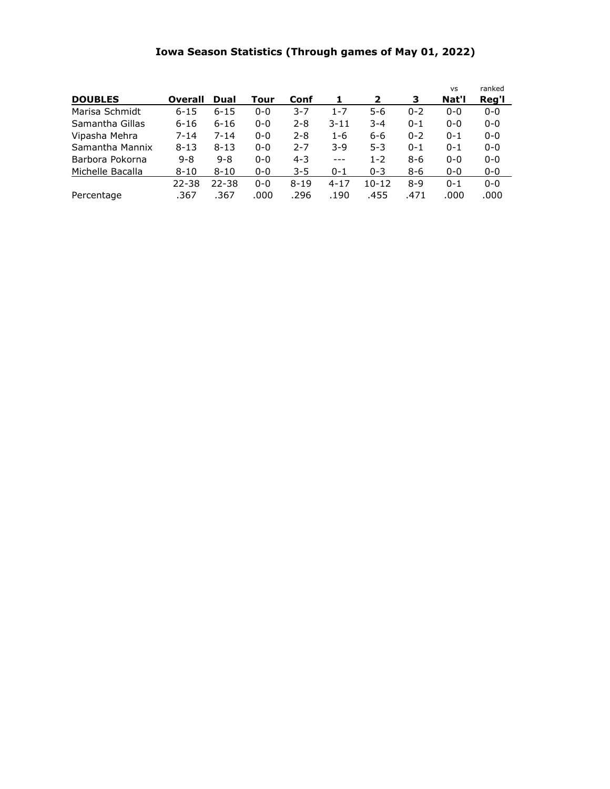## **Iowa Season Statistics (Through games of May 01, 2022)**

|                  |           |           |         |          |          |         |         | <b>VS</b> | ranked  |
|------------------|-----------|-----------|---------|----------|----------|---------|---------|-----------|---------|
| <b>DOUBLES</b>   | Overall   | Dual      | Tour    | Conf     | 1        | 2       | 3       | Nat'l     | Reg'l   |
| Marisa Schmidt   | $6 - 15$  | $6 - 15$  | $0 - 0$ | $3 - 7$  | $1 - 7$  | $5-6$   | $0 - 2$ | $0 - 0$   | $0 - 0$ |
| Samantha Gillas  | $6 - 16$  | $6 - 16$  | $0 - 0$ | $2 - 8$  | $3 - 11$ | $3 - 4$ | $0 - 1$ | $0 - 0$   | $0 - 0$ |
| Vipasha Mehra    | $7 - 14$  | $7 - 14$  | $0 - 0$ | $2 - 8$  | $1 - 6$  | $6 - 6$ | $0 - 2$ | $0 - 1$   | $0 - 0$ |
| Samantha Mannix  | $8 - 13$  | $8 - 13$  | $0 - 0$ | $2 - 7$  | $3-9$    | $5 - 3$ | $0 - 1$ | $0 - 1$   | $0 - 0$ |
| Barbora Pokorna  | $9 - 8$   | $9 - 8$   | $0 - 0$ | $4 - 3$  | $---$    | $1 - 2$ | $8 - 6$ | $0 - 0$   | $0 - 0$ |
| Michelle Bacalla | $8 - 10$  | $8 - 10$  | $0 - 0$ | $3 - 5$  | $0 - 1$  | $0 - 3$ | 8-6     | $0 - 0$   | $0 - 0$ |
|                  | $22 - 38$ | $22 - 38$ | $0 - 0$ | $8 - 19$ | $4 - 17$ | 10-12   | $8-9$   | $0 - 1$   | $0 - 0$ |
| Percentage       | .367      | .367      | .000    | .296     | .190     | .455    | .471    | .000      | .000    |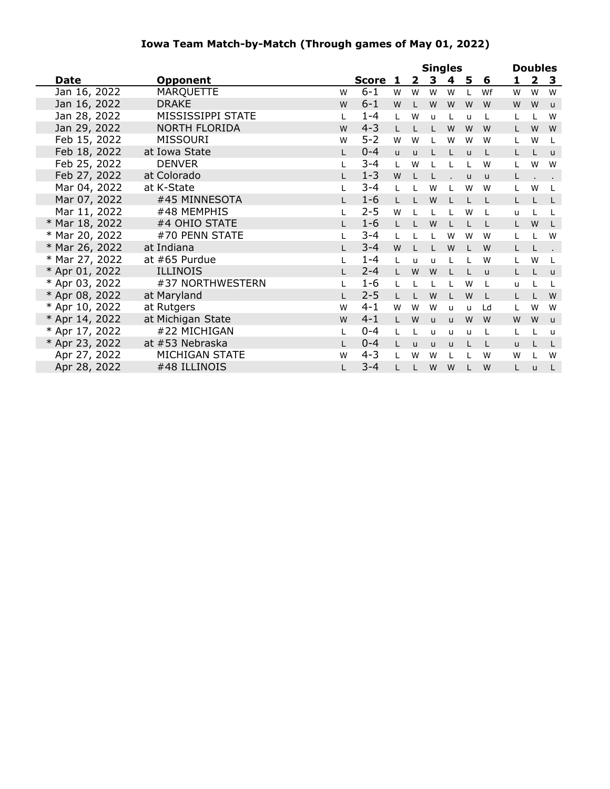### **Iowa Team Match-by-Match (Through games of May 01, 2022)**

|                |                      |    |         |              |              | <b>Singles</b> |              |              |              |    | <b>Doubles</b> |                         |
|----------------|----------------------|----|---------|--------------|--------------|----------------|--------------|--------------|--------------|----|----------------|-------------------------|
| Date           | <b>Opponent</b>      |    | Score   | 1            | $\mathbf{2}$ | 3              | 4            | 5            | 6            | 1  | $\overline{2}$ | $\overline{\mathbf{3}}$ |
| Jan 16, 2022   | <b>MARQUETTE</b>     | W  | $6 - 1$ | W            | W            | W              | W            | L            | Wf           | W  | W              | W                       |
| Jan 16, 2022   | <b>DRAKE</b>         | W  | $6 - 1$ | W            |              | W              | W            | W            | W            | W  | W              | $\mathsf{u}$            |
| Jan 28, 2022   | MISSISSIPPI STATE    | L  | $1 - 4$ | L            | W            | $\mathsf{u}$   | L            | u            | L            | L  |                | W                       |
| Jan 29, 2022   | <b>NORTH FLORIDA</b> | W  | $4 - 3$ | L            |              |                | W            | W            | W            | Г  | W              | W                       |
| Feb 15, 2022   | <b>MISSOURI</b>      | W  | $5 - 2$ | W            | W            |                | W            | W            | W            | L  | W              | L                       |
| Feb 18, 2022   | at Iowa State        | L. | $0 - 4$ | $\mathsf{u}$ | $\mathsf{u}$ |                | L            | $\mathbf{u}$ | L            | L  |                | $\mathsf{u}$            |
| Feb 25, 2022   | <b>DENVER</b>        | L  | $3 - 4$ | L            | W            |                | L            |              | W            | L  | W              | W                       |
| Feb 27, 2022   | at Colorado          | L. | $1 - 3$ | W            |              |                |              | $\mathbf{u}$ | $\mathsf{u}$ | L  |                |                         |
| Mar 04, 2022   | at K-State           |    | $3 - 4$ | L            |              | W              | L            | W            | W            | L. | W              | L                       |
| Mar 07, 2022   | #45 MINNESOTA        | L. | $1 - 6$ | L            |              | W              | L            | L            | L            | L  |                | L                       |
| Mar 11, 2022   | #48 MEMPHIS          |    | $2 - 5$ | W            |              | L              | L            | W            | L            | u  |                | L                       |
| * Mar 18, 2022 | #4 OHIO STATE        |    | $1 - 6$ | $\mathsf{L}$ |              | W              | L            |              | L            | L  | W              | L                       |
| * Mar 20, 2022 | #70 PENN STATE       |    | $3 - 4$ | L            |              |                | W            | W            | W            | L  |                | W                       |
| * Mar 26, 2022 | at Indiana           |    | $3 - 4$ | W            |              |                | W            |              | W            | Г  |                |                         |
| * Mar 27, 2022 | at #65 Purdue        | L  | $1 - 4$ | L            | $\mathbf{u}$ | $\mathsf{u}$   | L            |              | W            | L  | W              | L                       |
| * Apr 01, 2022 | <b>ILLINOIS</b>      | L. | $2 - 4$ | L            | W            | W              | L            |              | u            | L  |                | $\mathbf{u}$            |
| * Apr 03, 2022 | #37 NORTHWESTERN     |    | $1 - 6$ | L            |              |                | L            | W            | L            | u  |                | L                       |
| * Apr 08, 2022 | at Maryland          | L. | $2 - 5$ | L            | L            | W              | L            | W            | L            | L. |                | W                       |
| * Apr 10, 2022 | at Rutgers           | W  | $4 - 1$ | W            | W            | W              | $\mathsf{u}$ | u            | Ld           | L  | W              | W                       |
| * Apr 14, 2022 | at Michigan State    | W  | $4 - 1$ | L            | W            | <b>u</b>       | <b>u</b>     | W            | W            | W  | W              | $\mathsf{u}$            |
| * Apr 17, 2022 | #22 MICHIGAN         | L  | $0 - 4$ | L            |              | u              | $\mathsf{u}$ | u            | L            | L  |                | u                       |
| * Apr 23, 2022 | at #53 Nebraska      | L. | $0 - 4$ | L            | <b>u</b>     | $\mathsf{u}$   | $\mathsf{u}$ |              | L            | u  |                | L                       |
| Apr 27, 2022   | MICHIGAN STATE       | W  | $4 - 3$ | $\mathbf{I}$ | W            | W              | L            |              | W            | W  |                | W                       |
| Apr 28, 2022   | #48 ILLINOIS         | L  | $3 - 4$ |              |              | W              | W            |              | W            | L  | u              | L                       |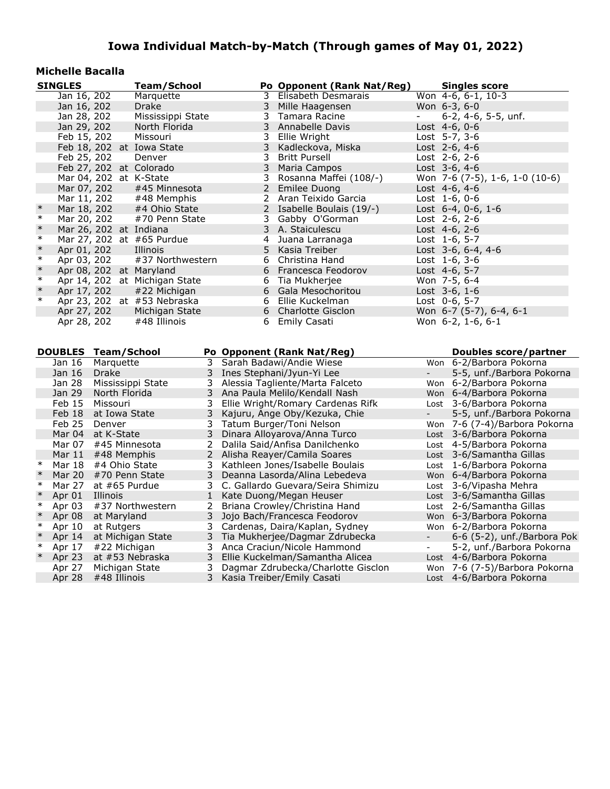#### **Michelle Bacalla**

|        | <b>SINGLES</b>      |               | <b>Team/School</b>            |              |                | Po Opponent (Rank Nat/Reg)                                            |                           | <b>Singles score</b>                                      |
|--------|---------------------|---------------|-------------------------------|--------------|----------------|-----------------------------------------------------------------------|---------------------------|-----------------------------------------------------------|
|        | Jan 16, 202         |               | Marquette                     |              | 3              | Elisabeth Desmarais                                                   |                           | Won 4-6, 6-1, 10-3                                        |
|        | Jan 16, 202         |               | Drake                         |              | 3              | Mille Haagensen                                                       |                           | Won 6-3, 6-0                                              |
|        | Jan 28, 202         |               | Mississippi State             |              | 3              | Tamara Racine                                                         | $\overline{\phantom{0}}$  | 6-2, 4-6, 5-5, unf.                                       |
|        | Jan 29, 202         |               | North Florida                 |              | 3              | Annabelle Davis                                                       |                           | Lost 4-6, 0-6                                             |
|        | Feb 15, 202         |               | Missouri                      |              | $\mathbf{3}$   | Ellie Wright                                                          |                           | Lost 5-7, 3-6                                             |
|        |                     |               | Feb 18, 202 at Iowa State     |              | 3              | Kadleckova, Miska                                                     |                           | Lost 2-6, 4-6                                             |
|        | Feb 25, 202         |               | Denver                        |              | 3              | <b>Britt Pursell</b>                                                  |                           | Lost 2-6, 2-6                                             |
|        |                     |               | Feb 27, 202 at Colorado       |              | 3              | Maria Campos                                                          |                           | Lost 3-6, 4-6                                             |
|        |                     |               | Mar 04, 202 at K-State        |              | 3              | Rosanna Maffei (108/-)                                                |                           | Won 7-6 (7-5), 1-6, 1-0 (10-6)                            |
|        | Mar 07, 202         |               | #45 Minnesota                 |              | 2 <sup>7</sup> | Emilee Duong                                                          |                           | Lost 4-6, 4-6                                             |
|        | Mar 11, 202         |               | #48 Memphis                   |              |                | 2 Aran Teixido Garcia                                                 |                           | Lost $1-6, 0-6$                                           |
| $\ast$ | Mar 18, 202         |               | #4 Ohio State                 |              |                | 2 Isabelle Boulais (19/-)                                             |                           | Lost 6-4, 0-6, 1-6                                        |
| $\ast$ | Mar 20, 202         |               | #70 Penn State                |              | 3              | Gabby O'Gorman                                                        |                           | Lost $2-6, 2-6$                                           |
| $\ast$ |                     |               | Mar 26, 202 at Indiana        |              | 3              | A. Staiculescu                                                        |                           | Lost $4-6, 2-6$                                           |
| $\ast$ |                     |               | Mar 27, 202 at #65 Purdue     |              | 4              | Juana Larranaga                                                       |                           | Lost 1-6, 5-7                                             |
| $\ast$ | Apr 01, 202         |               | Illinois                      |              | 5              | Kasia Treiber                                                         |                           | Lost 3-6, 6-4, 4-6                                        |
| $\ast$ | Apr 03, 202         |               | #37 Northwestern              |              |                | 6 Christina Hand                                                      |                           | Lost 1-6, 3-6                                             |
| $\ast$ |                     |               | Apr 08, 202 at Maryland       |              | 6              | Francesca Feodorov                                                    |                           | Lost 4-6, 5-7                                             |
| $\ast$ |                     |               | Apr 14, 202 at Michigan State |              |                | 6 Tia Mukherjee                                                       |                           | Won 7-5, 6-4                                              |
| $\ast$ | Apr 17, 202         |               | #22 Michigan                  |              | 6              | Gala Mesochoritou                                                     |                           | Lost 3-6, 1-6                                             |
| $\ast$ |                     |               | Apr 23, 202 at #53 Nebraska   |              |                | 6 Ellie Kuckelman                                                     |                           | Lost 0-6, 5-7                                             |
|        | Apr 27, 202         |               | Michigan State                |              |                | 6 Charlotte Gisclon                                                   |                           | Won 6-7 (5-7), 6-4, 6-1                                   |
|        | Apr 28, 202         |               | #48 Illinois                  |              |                | 6 Emily Casati                                                        |                           | Won 6-2, 1-6, 6-1                                         |
|        |                     |               |                               |              |                |                                                                       |                           |                                                           |
|        |                     |               |                               |              |                |                                                                       |                           |                                                           |
|        |                     |               |                               |              |                |                                                                       |                           |                                                           |
|        | DOUBLES Team/School |               |                               |              |                | Po Opponent (Rank Nat/Reg)                                            |                           | <b>Doubles score/partner</b>                              |
|        | Jan 16              | Marquette     |                               | 3            |                | Sarah Badawi/Andie Wiese                                              |                           | Won 6-2/Barbora Pokorna                                   |
|        | Jan 16              | Drake         |                               | 3            |                | Ines Stephani/Jyun-Yi Lee                                             | $\mathbb{Z}^{\mathbb{Z}}$ | 5-5, unf./Barbora Pokorna                                 |
|        | Jan 28              |               | Mississippi State             | 3            |                | Alessia Tagliente/Marta Falceto                                       |                           | Won 6-2/Barbora Pokorna                                   |
|        | Jan 29              | North Florida |                               | 3            |                | Ana Paula Melilo/Kendall Nash                                         |                           | Won 6-4/Barbora Pokorna                                   |
|        | Feb 15              | Missouri      |                               | 3            |                | Ellie Wright/Romary Cardenas Rifk                                     |                           | Lost 3-6/Barbora Pokorna                                  |
|        | Feb 18              | at Iowa State |                               | 3            |                | Kajuru, Ange Oby/Kezuka, Chie                                         |                           | 5-5, unf./Barbora Pokorna                                 |
|        | Feb 25              | Denver        |                               | 3            |                | Tatum Burger/Toni Nelson                                              |                           | Won 7-6 (7-4)/Barbora Pokorna                             |
|        | Mar 04              | at K-State    |                               | 3            |                | Dinara Alloyarova/Anna Turco                                          |                           | Lost 3-6/Barbora Pokorna                                  |
|        | Mar 07              |               | #45 Minnesota                 | $2^{\circ}$  |                | Dalila Said/Anfisa Danilchenko                                        |                           | Lost 4-5/Barbora Pokorna                                  |
|        | Mar 11              |               | #48 Memphis                   |              |                | 2 Alisha Reayer/Camila Soares                                         |                           | Lost 3-6/Samantha Gillas                                  |
| $\ast$ | Mar 18              |               | #4 Ohio State                 | 3            |                | Kathleen Jones/Isabelle Boulais                                       |                           | Lost 1-6/Barbora Pokorna                                  |
| $\ast$ | <b>Mar 20</b>       |               | #70 Penn State                | 3            |                | Deanna Lasorda/Alina Lebedeva                                         |                           | Won 6-4/Barbora Pokorna                                   |
| $\ast$ | Mar 27              |               | at $#65$ Purdue               | 3            |                | C. Gallardo Guevara/Seira Shimizu                                     |                           | Lost 3-6/Vipasha Mehra                                    |
| $\ast$ | Apr 01              | Illinois      |                               | $\mathbf{1}$ |                | Kate Duong/Megan Heuser                                               |                           | Lost 3-6/Samantha Gillas                                  |
| $\ast$ | Apr 03              |               | #37 Northwestern              | 2            |                | Briana Crowley/Christina Hand                                         |                           | Lost 2-6/Samantha Gillas                                  |
| $\ast$ | Apr 08              | at Maryland   |                               | 3            |                | Jojo Bach/Francesca Feodorov                                          |                           | Won 6-3/Barbora Pokorna                                   |
| $\ast$ | Apr 10              | at Rutgers    |                               | 3            |                | Cardenas, Daira/Kaplan, Sydney                                        |                           | Won 6-2/Barbora Pokorna                                   |
| $\ast$ | Apr 14              |               | at Michigan State             | 3            |                | Tia Mukherjee/Dagmar Zdrubecka                                        |                           | 6-6 (5-2), unf./Barbora Pok                               |
| $\ast$ | Apr 17              |               | #22 Michigan                  | 3            |                | Anca Craciun/Nicole Hammond                                           | $\sim$                    | 5-2, unf./Barbora Pokorna                                 |
| $\ast$ | Apr 23<br>Apr 27    |               | at #53 Nebraska               | 3<br>3       |                | Ellie Kuckelman/Samantha Alicea<br>Dagmar Zdrubecka/Charlotte Gisclon |                           | Lost 4-6/Barbora Pokorna<br>Won 7-6 (7-5)/Barbora Pokorna |

Apr 28 #48 Illinois 3 Kasia Treiber/Emily Casati Lost 4-6/Barbora Pokorna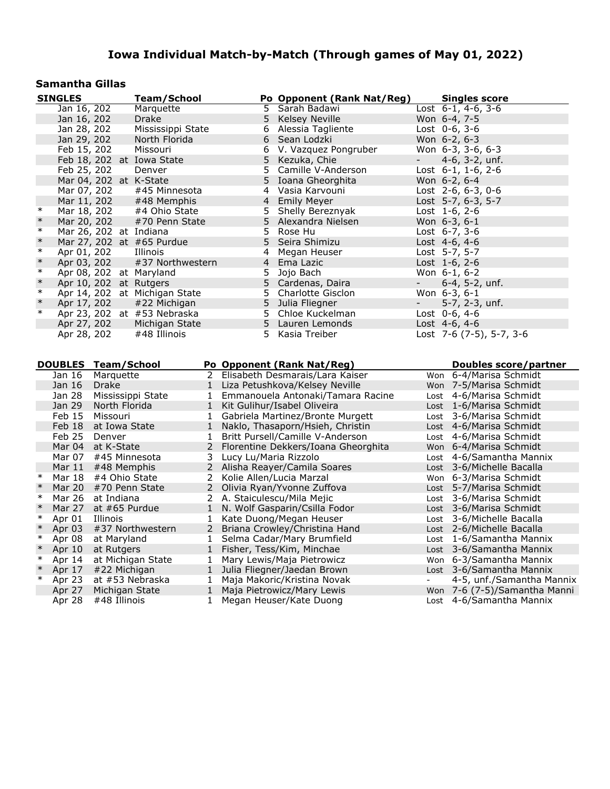#### **Samantha Gillas**

|        | <b>SINGLES</b>             |                | <b>Team/School</b>            |              |                       | Po Opponent (Rank Nat/Reg)                                | <b>Singles score</b>         |
|--------|----------------------------|----------------|-------------------------------|--------------|-----------------------|-----------------------------------------------------------|------------------------------|
|        | Jan 16, 202                |                | Marquette                     |              |                       | 5 Sarah Badawi                                            | Lost 6-1, 4-6, 3-6           |
|        | Jan 16, 202                |                | Drake                         |              | 5                     | <b>Kelsey Neville</b>                                     | Won 6-4, 7-5                 |
|        | Jan 28, 202                |                | Mississippi State             |              | 6                     | Alessia Tagliente                                         | Lost $0-6$ , $3-6$           |
|        | Jan 29, 202                |                | North Florida                 |              | 6                     | Sean Lodzki                                               | Won 6-2, 6-3                 |
|        | Feb 15, 202                |                | Missouri                      |              |                       | 6 V. Vazquez Pongruber                                    | Won 6-3, 3-6, 6-3            |
|        |                            |                | Feb 18, 202 at Iowa State     |              | 5                     | Kezuka, Chie                                              | 4-6, 3-2, unf.               |
|        | Feb 25, 202                |                | Denver                        |              | 5                     | Camille V-Anderson                                        | Lost 6-1, 1-6, 2-6           |
|        |                            |                | Mar 04, 202 at K-State        |              | 5.                    | Ioana Gheorghita                                          | Won 6-2, 6-4                 |
|        | Mar 07, 202                |                | #45 Minnesota                 |              |                       | 4 Vasia Karvouni                                          | Lost 2-6, 6-3, 0-6           |
|        | Mar 11, 202                |                | #48 Memphis                   |              | $\overline{4}$        | <b>Emily Meyer</b>                                        | Lost 5-7, 6-3, 5-7           |
| $\ast$ | Mar 18, 202                |                | #4 Ohio State                 |              | 5.                    | Shelly Bereznyak                                          | Lost 1-6, 2-6                |
| $\ast$ | Mar 20, 202                |                | #70 Penn State                |              | 5                     | Alexandra Nielsen                                         | Won 6-3, 6-1                 |
| $\ast$ | Mar 26, 202 at Indiana     |                |                               |              | 5.                    | Rose Hu                                                   | Lost 6-7, 3-6                |
| $\ast$ |                            |                | Mar 27, 202 at #65 Purdue     |              | 5                     | Seira Shimizu                                             | Lost 4-6, 4-6                |
| $\ast$ | Apr 01, 202                |                | Illinois                      |              | 4                     | Megan Heuser                                              | Lost 5-7, 5-7                |
| $\ast$ | Apr 03, 202                |                | #37 Northwestern              |              | 4                     | Ema Lazic                                                 | Lost 1-6, 2-6                |
| $\ast$ |                            |                | Apr 08, 202 at Maryland       |              | 5                     | Jojo Bach                                                 | Won 6-1, 6-2                 |
| $\ast$ |                            |                | Apr 10, 202 at Rutgers        |              | 5                     | Cardenas, Daira                                           | 6-4, 5-2, unf.               |
| $\ast$ |                            |                | Apr 14, 202 at Michigan State |              |                       | 5 Charlotte Gisclon                                       | Won 6-3, 6-1                 |
| $\ast$ | Apr 17, 202                |                | #22 Michigan                  |              |                       | 5 Julia Fliegner                                          | 5-7, 2-3, unf.               |
| $\ast$ |                            |                | Apr 23, 202 at #53 Nebraska   |              |                       | 5 Chloe Kuckelman                                         | Lost $0-6, 4-6$              |
|        | Apr 27, 202                |                | Michigan State                |              |                       | 5 Lauren Lemonds                                          | Lost 4-6, 4-6                |
|        | Apr 28, 202                |                | #48 Illinois                  |              |                       | 5 Kasia Treiber                                           | Lost 7-6 (7-5), 5-7, 3-6     |
|        |                            |                |                               |              |                       |                                                           |                              |
|        |                            |                |                               |              |                       |                                                           |                              |
|        |                            |                |                               |              |                       |                                                           |                              |
|        | <b>DOUBLES Team/School</b> |                |                               |              |                       | Po Opponent (Rank Nat/Reg)                                | Doubles score/partner        |
|        | Jan 16                     | Marquette      |                               | 2            |                       | Elisabeth Desmarais/Lara Kaiser                           | Won 6-4/Marisa Schmidt       |
|        | Jan 16                     | Drake          |                               | $\mathbf{1}$ |                       | Liza Petushkova/Kelsey Neville                            | Won 7-5/Marisa Schmidt       |
|        | Jan 28                     |                | Mississippi State             | $\mathbf{1}$ |                       | Emmanouela Antonaki/Tamara Racine                         | Lost 4-6/Marisa Schmidt      |
|        | Jan 29                     | North Florida  |                               | $\mathbf{1}$ |                       | Kit Gulihur/Isabel Oliveira                               | Lost 1-6/Marisa Schmidt      |
|        | Feb 15                     | Missouri       |                               | $\mathbf{1}$ |                       | Gabriela Martinez/Bronte Murgett                          | Lost 3-6/Marisa Schmidt      |
|        | Feb 18                     | at Iowa State  |                               | $\mathbf{1}$ |                       | Naklo, Thasaporn/Hsieh, Christin                          | Lost 4-6/Marisa Schmidt      |
|        | Feb 25                     | Denver         |                               | $\mathbf{1}$ |                       | Britt Pursell/Camille V-Anderson                          | Lost 4-6/Marisa Schmidt      |
|        | Mar 04                     | at K-State     |                               | $2^{\circ}$  |                       | Florentine Dekkers/Ioana Gheorghita                       | Won 6-4/Marisa Schmidt       |
|        | Mar 07                     |                | #45 Minnesota                 | 3            | Lucy Lu/Maria Rizzolo |                                                           | Lost 4-6/Samantha Mannix     |
|        | Mar $11$                   | #48 Memphis    |                               |              |                       | 2 Alisha Reayer/Camila Soares                             | Lost 3-6/Michelle Bacalla    |
| $\ast$ | Mar 18                     | #4 Ohio State  |                               | $\mathbf{2}$ |                       | Kolie Allen/Lucia Marzal                                  | Won 6-3/Marisa Schmidt       |
| $\ast$ | Mar 20                     |                | #70 Penn State                | $2^{\circ}$  |                       | Olivia Ryan/Yvonne Zuffova                                | Lost 5-7/Marisa Schmidt      |
| $\ast$ | Mar 26                     | at Indiana     |                               |              |                       | 2 A. Staiculescu/Mila Mejic                               | Lost 3-6/Marisa Schmidt      |
| $\ast$ | Mar 27                     | at #65 Purdue  |                               | 1            |                       | N. Wolf Gasparin/Csilla Fodor                             | Lost 3-6/Marisa Schmidt      |
| $\ast$ | Apr 01                     | Illinois       |                               | $\mathbf{1}$ |                       | Kate Duong/Megan Heuser                                   | Lost 3-6/Michelle Bacalla    |
| $\ast$ | Apr 03                     |                | #37 Northwestern              | $\mathbf{2}$ |                       | Briana Crowley/Christina Hand                             | Lost 2-6/Michelle Bacalla    |
| $\ast$ | Apr 08                     | at Maryland    |                               | $\mathbf{1}$ |                       | Selma Cadar/Mary Brumfield                                | Lost 1-6/Samantha Mannix     |
| $\ast$ | Apr 10                     | at Rutgers     |                               | 1            |                       | Fisher, Tess/Kim, Minchae                                 | Lost 3-6/Samantha Mannix     |
| $\ast$ | Apr 14                     |                | at Michigan State             | $\mathbf{1}$ |                       | Mary Lewis/Maja Pietrowicz                                | Won 6-3/Samantha Mannix      |
| $\ast$ | Apr 17                     | #22 Michigan   |                               | 1            |                       | Julia Fliegner/Jaedan Brown                               | Lost 3-6/Samantha Mannix     |
| $\ast$ | Apr 23                     |                | at #53 Nebraska               | $\mathbf{1}$ |                       | Maja Makoric/Kristina Novak                               | 4-5, unf./Samantha Mannix    |
|        | Apr 27<br>Apr 28           | Michigan State |                               |              |                       | 1 Maja Pietrowicz/Mary Lewis<br>1 Megan Heuser/Kate Duong | Won 7-6 (7-5)/Samantha Manni |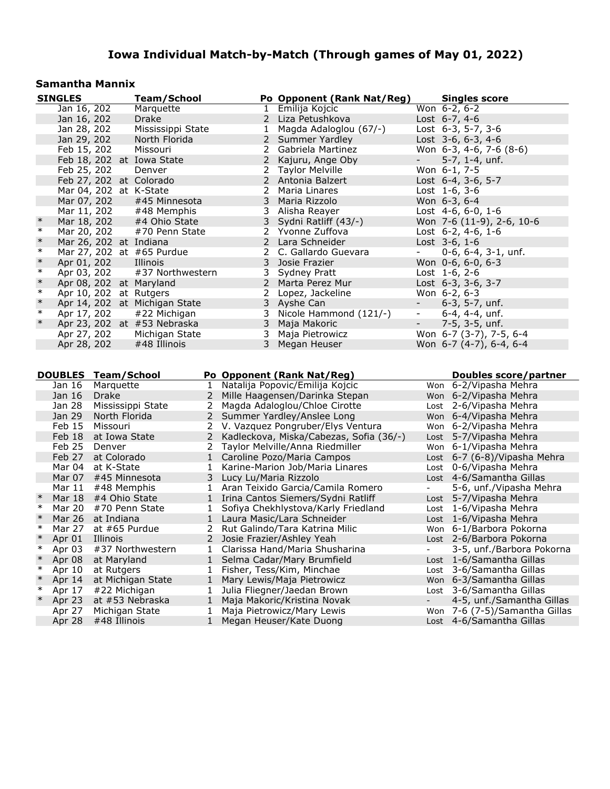#### **Samantha Mannix**

|        | <b>SINGLES</b>             |               | <b>Team/School</b>            |                   |                       | Po Opponent (Rank Nat/Reg)                            |                          | <b>Singles score</b>                                      |
|--------|----------------------------|---------------|-------------------------------|-------------------|-----------------------|-------------------------------------------------------|--------------------------|-----------------------------------------------------------|
|        | Jan 16, 202                |               | Marquette                     |                   |                       | 1 Emilija Kojcic                                      |                          | Won 6-2, 6-2                                              |
|        | Jan 16, 202                |               | Drake                         |                   |                       | 2 Liza Petushkova                                     |                          | Lost $6-7, 4-6$                                           |
|        | Jan 28, 202                |               | Mississippi State             |                   |                       | 1 Magda Adaloglou (67/-)                              |                          | Lost $6-3$ , $5-7$ , $3-6$                                |
|        | Jan 29, 202                |               | North Florida                 |                   |                       | 2 Summer Yardley                                      |                          | Lost $3-6, 6-3, 4-6$                                      |
|        | Feb 15, 202                |               | Missouri                      |                   |                       | 2 Gabriela Martinez                                   |                          | Won $6-3$ , $4-6$ , $7-6$ $(8-6)$                         |
|        |                            |               | Feb 18, 202 at Iowa State     |                   |                       | 2 Kajuru, Ange Oby                                    |                          | $5-7$ , 1-4, unf.                                         |
|        | Feb 25, 202                |               | Denver                        |                   |                       | 2 Taylor Melville                                     |                          | Won 6-1, 7-5                                              |
|        |                            |               | Feb 27, 202 at Colorado       |                   |                       | 2 Antonia Balzert                                     |                          | Lost 6-4, 3-6, 5-7                                        |
|        |                            |               | Mar 04, 202 at K-State        |                   | 2                     | Maria Linares                                         |                          | Lost $1-6, 3-6$                                           |
|        | Mar 07, 202                |               | #45 Minnesota                 |                   | 3                     | Maria Rizzolo                                         |                          | Won 6-3, 6-4                                              |
|        | Mar 11, 202                |               | #48 Memphis                   |                   |                       | 3 Alisha Reayer                                       |                          | Lost $4-6, 6-0, 1-6$                                      |
| $\ast$ | Mar 18, 202                |               | #4 Ohio State                 |                   | 3                     | Sydni Ratliff (43/-)                                  |                          | Won 7-6 (11-9), 2-6, 10-6                                 |
| $\ast$ | Mar 20, 202                |               | #70 Penn State                |                   |                       | 2 Yvonne Zuffova                                      |                          | Lost $6-2$ , $4-6$ , $1-6$                                |
| $\ast$ |                            |               | Mar 26, 202 at Indiana        |                   |                       | 2 Lara Schneider                                      |                          | Lost $3-6, 1-6$                                           |
| $\ast$ |                            |               | Mar 27, 202 at #65 Purdue     |                   |                       | 2 C. Gallardo Guevara                                 | $\overline{\phantom{a}}$ | $0-6$ , $6-4$ , $3-1$ , unf.                              |
| $\ast$ | Apr 01, 202                |               | Illinois                      |                   | 3                     | Josie Frazier                                         |                          | Won 0-6, 6-0, 6-3                                         |
| $\ast$ | Apr 03, 202                |               | #37 Northwestern              |                   | 3                     | Sydney Pratt                                          |                          | Lost $1-6$ , $2-6$                                        |
| $\ast$ |                            |               | Apr 08, 202 at Maryland       |                   |                       | 2 Marta Perez Mur                                     |                          | Lost 6-3, 3-6, 3-7                                        |
| $\ast$ |                            |               | Apr 10, 202 at Rutgers        |                   | 2                     | Lopez, Jackeline                                      |                          | Won 6-2, 6-3                                              |
| $\ast$ |                            |               | Apr 14, 202 at Michigan State |                   |                       | 3 Ayshe Can                                           | $\sim 100$               | 6-3, 5-7, unf.                                            |
| $\ast$ | Apr 17, 202                |               | #22 Michigan                  |                   | 3                     | Nicole Hammond (121/-)                                | $ \,$                    | $6-4, 4-4, \text{unf.}$                                   |
| $\ast$ |                            |               | Apr 23, 202 at #53 Nebraska   |                   | 3 <sup>7</sup>        | Maja Makoric                                          | н.                       | 7-5, 3-5, unf.                                            |
|        | Apr 27, 202                |               | Michigan State                |                   |                       | 3 Maja Pietrowicz                                     |                          | Won 6-7 (3-7), 7-5, 6-4                                   |
|        | Apr 28, 202                |               | #48 Illinois                  |                   | 3                     | Megan Heuser                                          |                          | Won 6-7 (4-7), 6-4, 6-4                                   |
|        |                            |               |                               |                   |                       |                                                       |                          |                                                           |
|        |                            |               |                               |                   |                       |                                                       |                          |                                                           |
|        |                            |               |                               |                   |                       |                                                       |                          |                                                           |
|        |                            |               |                               |                   |                       |                                                       |                          |                                                           |
|        | <b>DOUBLES Team/School</b> |               |                               |                   |                       | Po Opponent (Rank Nat/Reg)                            |                          | <b>Doubles score/partner</b>                              |
|        | Jan 16                     | Marquette     |                               | $\mathbf{1}$      |                       | Natalija Popovic/Emilija Kojcic                       |                          | Won 6-2/Vipasha Mehra                                     |
|        | Jan 16                     | Drake         |                               | 2                 |                       | Mille Haagensen/Darinka Stepan                        |                          | Won 6-2/Vipasha Mehra                                     |
|        | Jan 28                     |               | Mississippi State             | 2                 |                       | Magda Adaloglou/Chloe Cirotte                         |                          | Lost 2-6/Vipasha Mehra                                    |
|        | Jan 29                     | North Florida |                               |                   |                       | 2 Summer Yardley/Anslee Long                          |                          | Won 6-4/Vipasha Mehra                                     |
|        | Feb 15                     | Missouri      |                               |                   |                       | 2 V. Vazquez Pongruber/Elys Ventura                   |                          | Won 6-2/Vipasha Mehra                                     |
|        | Feb 18                     | at Iowa State |                               | 2                 |                       | Kadleckova, Miska/Cabezas, Sofia (36/-)               |                          | Lost 5-7/Vipasha Mehra                                    |
|        | Feb 25                     | Denver        |                               |                   |                       | 2 Taylor Melville/Anna Riedmiller                     |                          | Won 6-1/Vipasha Mehra                                     |
|        | Feb 27                     | at Colorado   |                               |                   |                       | 1 Caroline Pozo/Maria Campos                          |                          | Lost 6-7 (6-8)/Vipasha Mehra                              |
|        | Mar 04                     | at K-State    |                               | $\mathbf{1}$      |                       | Karine-Marion Job/Maria Linares                       |                          | Lost 0-6/Vipasha Mehra                                    |
|        | Mar 07                     |               | #45 Minnesota                 | 3 <sup>7</sup>    | Lucy Lu/Maria Rizzolo |                                                       |                          | Lost 4-6/Samantha Gillas                                  |
|        | Mar 11 #48 Memphis         |               |                               |                   |                       | 1 Aran Teixido Garcia/Camila Romero                   | $\sim$                   | 5-6, unf./Vipasha Mehra                                   |
| $\ast$ | Mar 18 #4 Ohio State       |               |                               |                   |                       | 1 Irina Cantos Siemers/Sydni Ratliff                  |                          | Lost 5-7/Vipasha Mehra                                    |
| $\ast$ | Mar 20                     |               | #70 Penn State                | $\mathbf{1}$      |                       | Sofiya Chekhlystova/Karly Friedland                   |                          | Lost 1-6/Vipasha Mehra                                    |
| $\ast$ | Mar 26 at Indiana          |               |                               |                   |                       | 1 Laura Masic/Lara Schneider                          |                          | Lost 1-6/Vipasha Mehra                                    |
| $\ast$ | Mar 27                     | at #65 Purdue |                               |                   |                       | 2 Rut Galindo/Tara Katrina Milic                      |                          | Won 6-1/Barbora Pokorna                                   |
| $\ast$ | Apr 01                     | Illinois      |                               |                   |                       | 2 Josie Frazier/Ashley Yeah                           |                          | Lost 2-6/Barbora Pokorna                                  |
| $\ast$ | Apr 03                     |               | #37 Northwestern              | 1                 |                       | Clarissa Hand/Maria Shusharina                        |                          | 3-5, unf./Barbora Pokorna                                 |
| $\ast$ | Apr 08                     | at Maryland   |                               | $\mathbf{1}$      |                       | Selma Cadar/Mary Brumfield                            |                          | Lost 1-6/Samantha Gillas                                  |
| ∗      | Apr 10                     | at Rutgers    |                               | 1                 |                       | Fisher, Tess/Kim, Minchae                             | Lost                     | 3-6/Samantha Gillas                                       |
| $\ast$ | Apr 14                     |               | at Michigan State             | 1                 |                       | Mary Lewis/Maja Pietrowicz                            |                          | Won 6-3/Samantha Gillas                                   |
| ∗      | Apr 17                     | #22 Michigan  |                               | 1                 |                       | Julia Fliegner/Jaedan Brown                           |                          | Lost 3-6/Samantha Gillas                                  |
| $\ast$ | Apr 23                     |               | at #53 Nebraska               | $\mathbf{1}$      |                       | Maja Makoric/Kristina Novak                           | $\blacksquare$           | 4-5, unf./Samantha Gillas                                 |
|        | Apr 27<br>Apr 28           | #48 Illinois  | Michigan State                | 1<br>$\mathbf{1}$ |                       | Maja Pietrowicz/Mary Lewis<br>Megan Heuser/Kate Duong |                          | Won 7-6 (7-5)/Samantha Gillas<br>Lost 4-6/Samantha Gillas |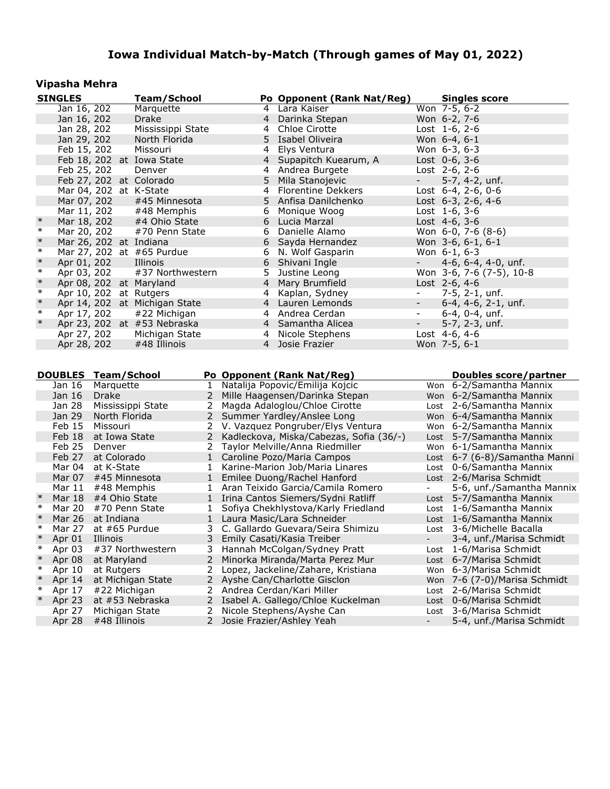### **Vipasha Mehra**

|        | <b>SINGLES</b>             |                        | <b>Team/School</b>            |                |   | Po Opponent (Rank Nat/Reg)              |                          | <b>Singles score</b>          |
|--------|----------------------------|------------------------|-------------------------------|----------------|---|-----------------------------------------|--------------------------|-------------------------------|
|        | Jan 16, 202                |                        | Marquette                     |                |   | 4 Lara Kaiser                           |                          | Won 7-5, 6-2                  |
|        | Jan 16, 202                |                        | Drake                         |                |   | 4 Darinka Stepan                        |                          | Won 6-2, 7-6                  |
|        | Jan 28, 202                |                        | Mississippi State             |                | 4 | Chloe Cirotte                           |                          | Lost 1-6, 2-6                 |
|        | Jan 29, 202                |                        | North Florida                 |                |   | 5 Isabel Oliveira                       |                          | Won 6-4, 6-1                  |
|        | Feb 15, 202                |                        | Missouri                      |                | 4 | Elys Ventura                            |                          | Won 6-3, 6-3                  |
|        |                            |                        | Feb 18, 202 at Iowa State     |                |   | 4 Supapitch Kuearum, A                  |                          | Lost 0-6, 3-6                 |
|        | Feb 25, 202                |                        | Denver                        |                |   | 4 Andrea Burgete                        |                          | Lost 2-6, 2-6                 |
|        |                            |                        | Feb 27, 202 at Colorado       |                | 5 | Mila Stanojevic                         | $\sim$                   | 5-7, 4-2, unf.                |
|        |                            |                        | Mar 04, 202 at K-State        |                | 4 | <b>Florentine Dekkers</b>               |                          | Lost $6-4$ , $2-6$ , $0-6$    |
|        | Mar 07, 202                |                        | #45 Minnesota                 |                | 5 | Anfisa Danilchenko                      |                          | Lost 6-3, 2-6, 4-6            |
|        | Mar 11, 202                |                        | #48 Memphis                   |                |   | 6 Monique Woog                          |                          | Lost $1-6, 3-6$               |
| $\ast$ | Mar 18, 202                |                        | #4 Ohio State                 |                | 6 | Lucia Marzal                            |                          | Lost $4-6, 3-6$               |
| $\ast$ | Mar 20, 202                |                        | #70 Penn State                |                | 6 | Danielle Alamo                          |                          | Won 6-0, 7-6 (8-6)            |
| $\ast$ |                            | Mar 26, 202 at Indiana |                               |                | 6 | Sayda Hernandez                         |                          | Won 3-6, 6-1, 6-1             |
| $\ast$ |                            |                        | Mar 27, 202 at #65 Purdue     |                | 6 | N. Wolf Gasparin                        |                          | Won 6-1, 6-3                  |
| $\ast$ | Apr 01, 202                |                        | Illinois                      |                | 6 | Shivani Ingle                           |                          | 4-6, 6-4, 4-0, unf.           |
| $\ast$ | Apr 03, 202                |                        | #37 Northwestern              |                | 5 | Justine Leong                           |                          | Won 3-6, 7-6 (7-5), 10-8      |
| $\ast$ |                            |                        | Apr 08, 202 at Maryland       |                |   | 4 Mary Brumfield                        |                          | Lost 2-6, 4-6                 |
| $\ast$ |                            |                        | Apr 10, 202 at Rutgers        |                | 4 | Kaplan, Sydney                          | $\sim$                   | 7-5, 2-1, unf.                |
| $\ast$ |                            |                        | Apr 14, 202 at Michigan State |                |   | 4 Lauren Lemonds                        | $\sim$                   | 6-4, 4-6, 2-1, unf.           |
| $\ast$ |                            |                        |                               |                |   | 4 Andrea Cerdan                         | $\blacksquare$           |                               |
| $\ast$ | Apr 17, 202                |                        | #22 Michigan                  |                |   |                                         |                          | 6-4, 0-4, unf.                |
|        |                            |                        | Apr 23, 202 at #53 Nebraska   |                |   | 4 Samantha Alicea                       | $\overline{\phantom{a}}$ | 5-7, 2-3, unf.                |
|        | Apr 27, 202                |                        | Michigan State                |                |   | 4 Nicole Stephens                       |                          | Lost 4-6, 4-6                 |
|        | Apr 28, 202                |                        | #48 Illinois                  |                |   | 4 Josie Frazier                         |                          | Won 7-5, 6-1                  |
|        |                            |                        |                               |                |   |                                         |                          |                               |
|        |                            |                        |                               |                |   |                                         |                          |                               |
|        |                            |                        |                               |                |   |                                         |                          |                               |
|        | <b>DOUBLES Team/School</b> |                        |                               |                |   | Po Opponent (Rank Nat/Reg)              |                          | <b>Doubles score/partner</b>  |
|        | Jan 16                     | Marquette              |                               | $\mathbf{1}$   |   | Natalija Popovic/Emilija Kojcic         |                          | Won 6-2/Samantha Mannix       |
|        | Jan 16                     | Drake                  |                               | 2              |   | Mille Haagensen/Darinka Stepan          |                          | Won 6-2/Samantha Mannix       |
|        | Jan 28                     |                        | Mississippi State             | $\mathbf{2}$   |   | Magda Adaloglou/Chloe Cirotte           |                          | Lost 2-6/Samantha Mannix      |
|        | Jan 29                     | North Florida          |                               |                |   | 2 Summer Yardley/Anslee Long            |                          | Won 6-4/Samantha Mannix       |
|        | Feb 15                     | Missouri               |                               |                |   | 2 V. Vazquez Pongruber/Elys Ventura     |                          | Won 6-2/Samantha Mannix       |
|        | Feb 18                     | at Iowa State          |                               | $\overline{2}$ |   | Kadleckova, Miska/Cabezas, Sofia (36/-) |                          | Lost 5-7/Samantha Mannix      |
|        | Feb 25                     | Denver                 |                               |                |   | 2 Taylor Melville/Anna Riedmiller       |                          | Won 6-1/Samantha Mannix       |
|        | Feb 27                     | at Colorado            |                               |                |   | 1 Caroline Pozo/Maria Campos            |                          | Lost 6-7 (6-8)/Samantha Manni |
|        | Mar 04                     | at K-State             |                               | $\mathbf{1}$   |   | Karine-Marion Job/Maria Linares         |                          | Lost 0-6/Samantha Mannix      |
|        | Mar 07                     | #45 Minnesota          |                               | 1              |   | Emilee Duong/Rachel Hanford             |                          | Lost 2-6/Marisa Schmidt       |
|        | Mar 11 #48 Memphis         |                        |                               |                |   | 1 Aran Teixido Garcia/Camila Romero     | $\sim$                   | 5-6, unf./Samantha Mannix     |
| $\ast$ | Mar 18 #4 Ohio State       |                        |                               |                |   | 1 Irina Cantos Siemers/Sydni Ratliff    |                          | Lost 5-7/Samantha Mannix      |
| $\ast$ | Mar 20                     | #70 Penn State         |                               | $\mathbf{1}$   |   | Sofiya Chekhlystova/Karly Friedland     |                          | Lost 1-6/Samantha Mannix      |
| $\ast$ | Mar 26 at Indiana          |                        |                               |                |   | 1 Laura Masic/Lara Schneider            |                          | Lost 1-6/Samantha Mannix      |
| $\ast$ | Mar 27                     | at #65 Purdue          |                               |                |   | 3 C. Gallardo Guevara/Seira Shimizu     |                          | Lost 3-6/Michelle Bacalla     |
| $\ast$ | Apr 01                     | Illinois               |                               |                |   | 3 Emily Casati/Kasia Treiber            |                          | 3-4, unf./Marisa Schmidt      |
| $\ast$ | Apr 03                     |                        | #37 Northwestern              | 3.             |   | Hannah McColgan/Sydney Pratt            |                          | Lost 1-6/Marisa Schmidt       |
| $\ast$ | Apr 08                     | at Maryland            |                               | 2              |   | Minorka Miranda/Marta Perez Mur         |                          | Lost 6-7/Marisa Schmidt       |
| ∗      | Apr 10                     | at Rutgers             |                               | 2              |   | Lopez, Jackeline/Zahare, Kristiana      |                          | Won 6-3/Marisa Schmidt        |
| $\ast$ | Apr 14                     |                        | at Michigan State             | 2              |   | Ayshe Can/Charlotte Gisclon             |                          | Won 7-6 (7-0)/Marisa Schmidt  |
| ∗      | Apr 17                     | #22 Michigan           |                               | 2              |   | Andrea Cerdan/Kari Miller               |                          | Lost 2-6/Marisa Schmidt       |
| $\ast$ | Apr 23                     |                        | at #53 Nebraska               | 2              |   | Isabel A. Gallego/Chloe Kuckelman       |                          | Lost 0-6/Marisa Schmidt       |
|        | Apr 27                     | Michigan State         |                               | 2              |   | Nicole Stephens/Ayshe Can               | Lost                     | 3-6/Marisa Schmidt            |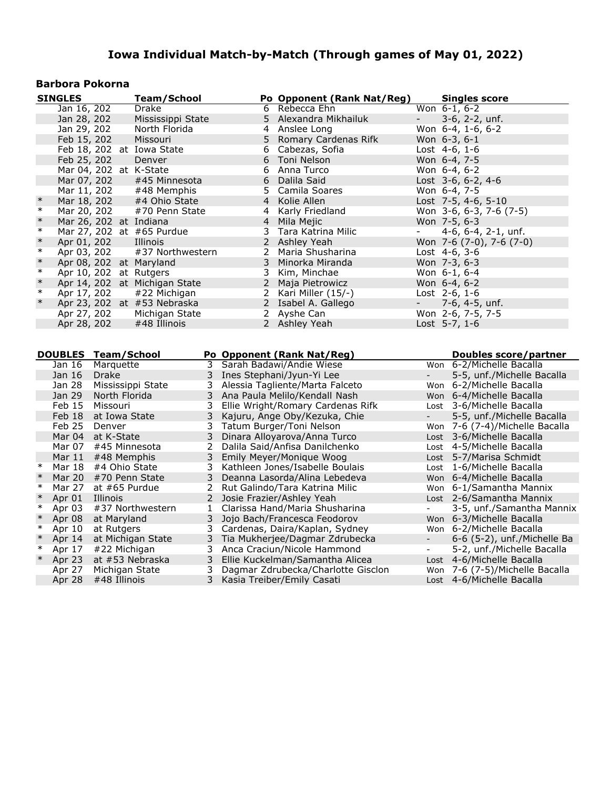### **Barbora Pokorna**

|        | <b>SINGLES</b> |               | <b>Team/School</b>                |                |                | Po Opponent (Rank Nat/Reg)         |                          | <b>Singles score</b>                                        |
|--------|----------------|---------------|-----------------------------------|----------------|----------------|------------------------------------|--------------------------|-------------------------------------------------------------|
|        | Jan 16, 202    |               | Drake                             |                |                | 6 Rebecca Ehn                      |                          | Won $6-1, 6-2$                                              |
|        | Jan 28, 202    |               | Mississippi State                 |                | 5.             | Alexandra Mikhailuk                |                          | 3-6, 2-2, unf.                                              |
|        | Jan 29, 202    |               | North Florida                     |                | 4              | Anslee Long                        |                          | Won 6-4, 1-6, 6-2                                           |
|        | Feb 15, 202    |               | Missouri                          |                | 5              | Romary Cardenas Rifk               |                          | Won $6-3, 6-1$                                              |
|        |                |               | Feb 18, 202 at Iowa State         |                | 6              | Cabezas, Sofia                     |                          | Lost 4-6, 1-6                                               |
|        | Feb 25, 202    |               | Denver                            |                | 6              | Toni Nelson                        |                          | Won 6-4, 7-5                                                |
|        |                |               | Mar 04, 202 at K-State            |                | 6              | Anna Turco                         |                          | Won 6-4, 6-2                                                |
|        | Mar 07, 202    |               | #45 Minnesota                     |                | 6              | Dalila Said                        |                          | Lost 3-6, 6-2, 4-6                                          |
|        | Mar 11, 202    |               | #48 Memphis                       |                | 5.             | Camila Soares                      |                          | Won 6-4, 7-5                                                |
| $\ast$ | Mar 18, 202    |               | #4 Ohio State                     |                | $\overline{4}$ | Kolie Allen                        |                          | Lost 7-5, 4-6, 5-10                                         |
| $\ast$ | Mar 20, 202    |               | #70 Penn State                    |                | 4              | Karly Friedland                    |                          | Won 3-6, 6-3, 7-6 (7-5)                                     |
| $\ast$ |                |               | Mar 26, 202 at Indiana            |                | $\overline{4}$ | Mila Mejic                         |                          | Won 7-5, 6-3                                                |
| $\ast$ |                |               | Mar 27, 202 at #65 Purdue         |                | 3              | Tara Katrina Milic                 | $\overline{\phantom{a}}$ | 4-6, $6-4$ , $2-1$ , unf.                                   |
| $\ast$ | Apr 01, 202    |               | Illinois                          |                | $\overline{2}$ | Ashley Yeah                        |                          | Won 7-6 (7-0), 7-6 (7-0)                                    |
| $\ast$ | Apr 03, 202    |               | #37 Northwestern                  |                |                | 2 Maria Shusharina                 |                          | Lost 4-6, 3-6                                               |
| $\ast$ |                |               | Apr 08, 202 at Maryland           |                | 3              | Minorka Miranda                    |                          | Won 7-3, 6-3                                                |
| $\ast$ |                |               | Apr 10, 202 at Rutgers            |                | 3              | Kim, Minchae                       |                          | Won 6-1, 6-4                                                |
| $\ast$ |                |               | Apr 14, 202 at Michigan State     |                | $\overline{2}$ | Maja Pietrowicz                    |                          | Won 6-4, 6-2                                                |
| $\ast$ | Apr 17, 202    |               | #22 Michigan                      |                |                | 2 Kari Miller $(15/-)$             |                          | Lost 2-6, 1-6                                               |
| $\ast$ |                |               | Apr 23, 202 at #53 Nebraska       |                |                | 2 Isabel A. Gallego                |                          | 7-6, 4-5, unf.                                              |
|        | Apr 27, 202    |               | Michigan State                    |                |                | 2 Ayshe Can                        |                          | Won 2-6, 7-5, 7-5                                           |
|        | Apr 28, 202    |               | #48 Illinois                      |                |                | 2 Ashley Yeah                      |                          | Lost 5-7, 1-6                                               |
|        |                |               |                                   |                |                |                                    |                          |                                                             |
|        |                |               |                                   |                |                |                                    |                          |                                                             |
|        |                |               |                                   |                |                |                                    |                          |                                                             |
|        | <b>DOUBLES</b> |               | <b>Team/School</b>                |                |                | Po Opponent (Rank Nat/Reg)         |                          | <b>Doubles score/partner</b>                                |
|        | Jan 16         | Marquette     |                                   |                |                | 3 Sarah Badawi/Andie Wiese         |                          | Won 6-2/Michelle Bacalla                                    |
|        | Jan 16         | Drake         |                                   |                |                | 3 Ines Stephani/Jyun-Yi Lee        | $\overline{\phantom{0}}$ | 5-5, unf./Michelle Bacalla                                  |
|        | Jan 28         |               | Mississippi State                 | 3              |                | Alessia Tagliente/Marta Falceto    |                          | Won 6-2/Michelle Bacalla                                    |
|        | Jan 29         | North Florida |                                   | 3              |                | Ana Paula Melilo/Kendall Nash      |                          | Won 6-4/Michelle Bacalla                                    |
|        | Feb 15         | Missouri      |                                   | 3              |                | Ellie Wright/Romary Cardenas Rifk  |                          | Lost 3-6/Michelle Bacalla                                   |
|        | Feb 18         |               | at Iowa State                     | 3              |                | Kajuru, Ange Oby/Kezuka, Chie      |                          | 5-5, unf./Michelle Bacalla                                  |
|        | Feb 25         | Denver        |                                   | 3              |                | Tatum Burger/Toni Nelson           |                          | Won 7-6 (7-4)/Michelle Bacalla                              |
|        | Mar 04         | at K-State    |                                   | 3              |                | Dinara Alloyarova/Anna Turco       |                          | Lost 3-6/Michelle Bacalla                                   |
|        | Mar 07         |               | #45 Minnesota                     | $\overline{2}$ |                | Dalila Said/Anfisa Danilchenko     |                          | Lost 4-5/Michelle Bacalla                                   |
|        | Mar $11$       |               | #48 Memphis                       | 3              |                | Emily Meyer/Monique Woog           |                          | Lost 5-7/Marisa Schmidt                                     |
| $\ast$ | Mar 18         |               | #4 Ohio State                     | 3              |                | Kathleen Jones/Isabelle Boulais    |                          | Lost 1-6/Michelle Bacalla                                   |
| $\ast$ | Mar 20         |               | #70 Penn State                    | 3              |                | Deanna Lasorda/Alina Lebedeva      |                          | Won 6-4/Michelle Bacalla                                    |
| $\ast$ | Mar 27         |               | at $#65$ Purdue                   | 2              |                | Rut Galindo/Tara Katrina Milic     |                          | Won 6-1/Samantha Mannix                                     |
| $\ast$ | Apr 01         | Illinois      |                                   | $\overline{2}$ |                | Josie Frazier/Ashley Yeah          |                          | Lost 2-6/Samantha Mannix                                    |
| $\ast$ | Apr 03         |               | #37 Northwestern                  | $\mathbf{1}$   |                | Clarissa Hand/Maria Shusharina     |                          | 3-5, unf./Samantha Mannix                                   |
| $\ast$ | Apr 08         | at Maryland   |                                   | 3              |                | Jojo Bach/Francesca Feodorov       |                          | Won 6-3/Michelle Bacalla                                    |
| $\ast$ | Apr 10         | at Rutgers    |                                   | 3              |                | Cardenas, Daira/Kaplan, Sydney     |                          | Won 6-2/Michelle Bacalla                                    |
| $\ast$ | Apr $14$       |               | at Michigan State                 | 3              |                | Tia Mukherjee/Dagmar Zdrubecka     | $\blacksquare$           | 6-6 (5-2), unf./Michelle Ba                                 |
| $\ast$ | Apr 17         |               | #22 Michigan                      | 3              |                | Anca Craciun/Nicole Hammond        | $\overline{\phantom{0}}$ | 5-2, unf./Michelle Bacalla                                  |
| $\ast$ | Apr 23         |               |                                   | 3              |                | Ellie Kuckelman/Samantha Alicea    |                          | Lost 4-6/Michelle Bacalla                                   |
|        | Apr 27         |               | at #53 Nebraska<br>Michigan State | 3              |                | Dagmar Zdrubecka/Charlotte Gisclon |                          | Won 7-6 (7-5)/Michelle Bacalla<br>Lost 4-6/Michelle Bacalla |